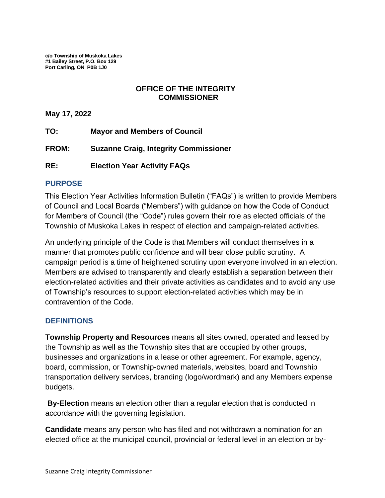**c/o Township of Muskoka Lakes #1 Bailey Street, P.O. Box 129 Port Carling, ON P0B 1J0** 

### **OFFICE OF THE INTEGRITY COMMISSIONER**

**May 17, 2022**

- **TO: Mayor and Members of Council**
- **FROM: Suzanne Craig, Integrity Commissioner**
- **RE: Election Year Activity FAQs**

#### **PURPOSE**

This Election Year Activities Information Bulletin ("FAQs") is written to provide Members of Council and Local Boards ("Members") with guidance on how the Code of Conduct for Members of Council (the "Code") rules govern their role as elected officials of the Township of Muskoka Lakes in respect of election and campaign-related activities.

An underlying principle of the Code is that Members will conduct themselves in a manner that promotes public confidence and will bear close public scrutiny. A campaign period is a time of heightened scrutiny upon everyone involved in an election. Members are advised to transparently and clearly establish a separation between their election-related activities and their private activities as candidates and to avoid any use of Township's resources to support election-related activities which may be in contravention of the Code.

#### **DEFINITIONS**

**Township Property and Resources** means all sites owned, operated and leased by the Township as well as the Township sites that are occupied by other groups, businesses and organizations in a lease or other agreement. For example, agency, board, commission, or Township-owned materials, websites, board and Township transportation delivery services, branding (logo/wordmark) and any Members expense budgets.

**By-Election** means an election other than a regular election that is conducted in accordance with the governing legislation.

**Candidate** means any person who has filed and not withdrawn a nomination for an elected office at the municipal council, provincial or federal level in an election or by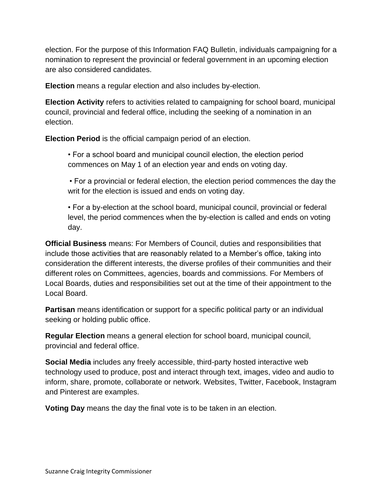election. For the purpose of this Information FAQ Bulletin, individuals campaigning for a nomination to represent the provincial or federal government in an upcoming election are also considered candidates.

**Election** means a regular election and also includes by-election.

**Election Activity** refers to activities related to campaigning for school board, municipal council, provincial and federal office, including the seeking of a nomination in an election.

**Election Period** is the official campaign period of an election.

• For a school board and municipal council election, the election period commences on May 1 of an election year and ends on voting day.

• For a provincial or federal election, the election period commences the day the writ for the election is issued and ends on voting day.

• For a by-election at the school board, municipal council, provincial or federal level, the period commences when the by-election is called and ends on voting day.

**Official Business** means: For Members of Council, duties and responsibilities that include those activities that are reasonably related to a Member's office, taking into consideration the different interests, the diverse profiles of their communities and their different roles on Committees, agencies, boards and commissions. For Members of Local Boards, duties and responsibilities set out at the time of their appointment to the Local Board.

**Partisan** means identification or support for a specific political party or an individual seeking or holding public office.

**Regular Election** means a general election for school board, municipal council, provincial and federal office.

**Social Media** includes any freely accessible, third-party hosted interactive web technology used to produce, post and interact through text, images, video and audio to inform, share, promote, collaborate or network. Websites, Twitter, Facebook, Instagram and Pinterest are examples.

**Voting Day** means the day the final vote is to be taken in an election.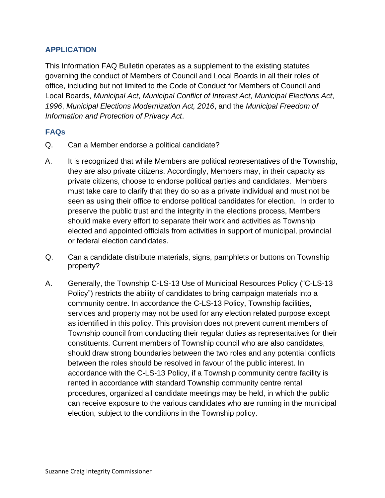# **APPLICATION**

This Information FAQ Bulletin operates as a supplement to the existing statutes governing the conduct of Members of Council and Local Boards in all their roles of office, including but not limited to the Code of Conduct for Members of Council and Local Boards, *Municipal Act*, *Municipal Conflict of Interest Act*, *Municipal Elections Act*, *1996*, *Municipal Elections Modernization Act, 2016*, and the *Municipal Freedom of Information and Protection of Privacy Act*.

## **FAQs**

- Q. Can a Member endorse a political candidate?
- A. It is recognized that while Members are political representatives of the Township, they are also private citizens. Accordingly, Members may, in their capacity as private citizens, choose to endorse political parties and candidates. Members must take care to clarify that they do so as a private individual and must not be seen as using their office to endorse political candidates for election. In order to preserve the public trust and the integrity in the elections process, Members should make every effort to separate their work and activities as Township elected and appointed officials from activities in support of municipal, provincial or federal election candidates.
- Q. Can a candidate distribute materials, signs, pamphlets or buttons on Township property?
- A. Generally, the Township C-LS-13 Use of Municipal Resources Policy ("C-LS-13 Policy") restricts the ability of candidates to bring campaign materials into a community centre. In accordance the C-LS-13 Policy, Township facilities, services and property may not be used for any election related purpose except as identified in this policy. This provision does not prevent current members of Township council from conducting their regular duties as representatives for their constituents. Current members of Township council who are also candidates, should draw strong boundaries between the two roles and any potential conflicts between the roles should be resolved in favour of the public interest. In accordance with the C-LS-13 Policy, if a Township community centre facility is rented in accordance with standard Township community centre rental procedures, organized all candidate meetings may be held, in which the public can receive exposure to the various candidates who are running in the municipal election, subject to the conditions in the Township policy.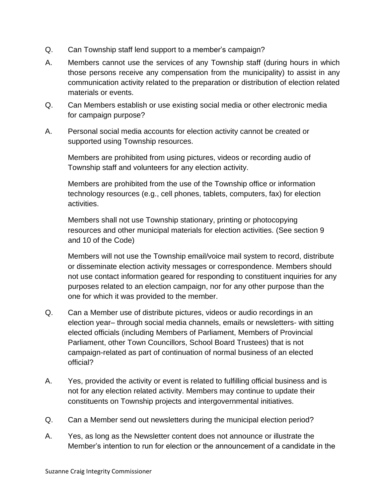- Q. Can Township staff lend support to a member's campaign?
- A. Members cannot use the services of any Township staff (during hours in which those persons receive any compensation from the municipality) to assist in any communication activity related to the preparation or distribution of election related materials or events.
- Q. Can Members establish or use existing social media or other electronic media for campaign purpose?
- A. Personal social media accounts for election activity cannot be created or supported using Township resources.

Members are prohibited from using pictures, videos or recording audio of Township staff and volunteers for any election activity.

Members are prohibited from the use of the Township office or information technology resources (e.g., cell phones, tablets, computers, fax) for election activities.

Members shall not use Township stationary, printing or photocopying resources and other municipal materials for election activities. (See section 9 and 10 of the Code)

Members will not use the Township email/voice mail system to record, distribute or disseminate election activity messages or correspondence. Members should not use contact information geared for responding to constituent inquiries for any purposes related to an election campaign, nor for any other purpose than the one for which it was provided to the member.

- Q. Can a Member use of distribute pictures, videos or audio recordings in an election year– through social media channels, emails or newsletters- with sitting elected officials (including Members of Parliament, Members of Provincial Parliament, other Town Councillors, School Board Trustees) that is not campaign-related as part of continuation of normal business of an elected official?
- A. Yes, provided the activity or event is related to fulfilling official business and is not for any election related activity. Members may continue to update their constituents on Township projects and intergovernmental initiatives.
- Q. Can a Member send out newsletters during the municipal election period?
- A. Yes, as long as the Newsletter content does not announce or illustrate the Member's intention to run for election or the announcement of a candidate in the